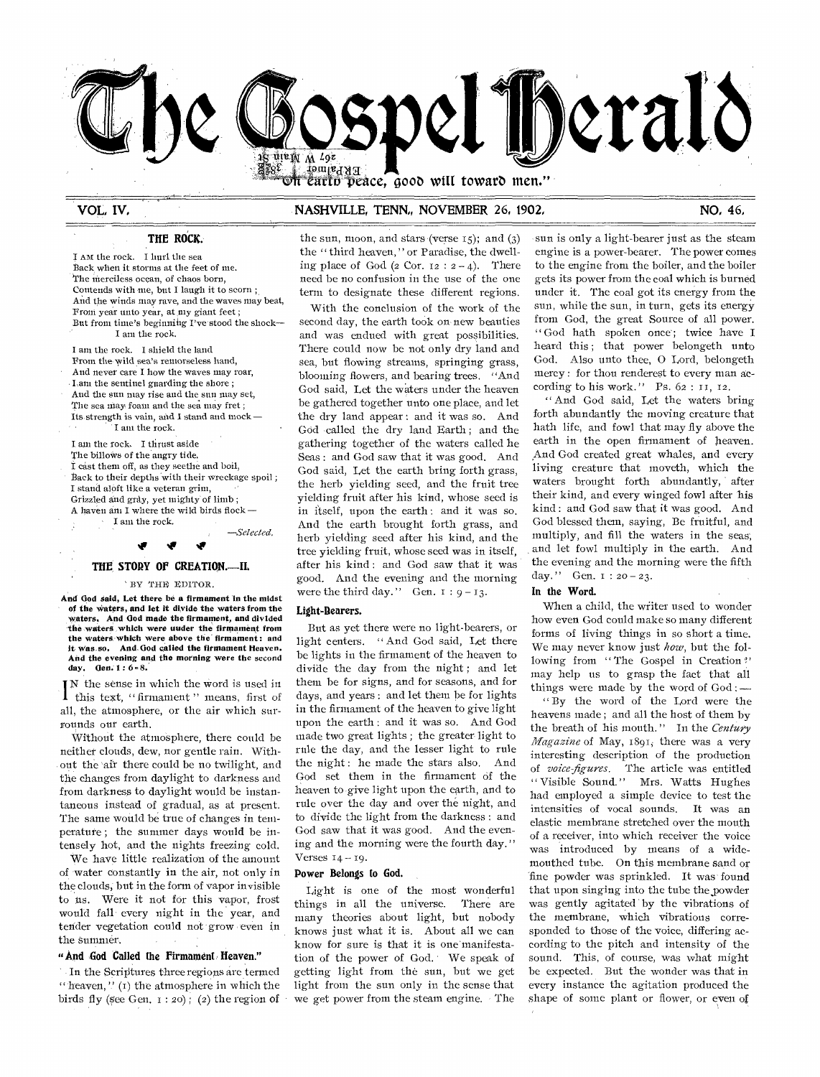

#### VOL, IV, NASHVILLE, TENN, NOVEMBER 26, 1902, NO. 46,

#### THE ROCK.

I AM the rock. I hurl the sea Back when it storms at the feet of me. The merciless ocean, of chaos born, Contends with me, but I laugh it to scorn ;. And the winds may rave, and the waves may beat, Front year unto year, at my giant feet ; But from time's beginning I've'stood the shock— I am the rock.

I am the rock. I shield the land From the- wild sea's remorseless hand, And never care I how the waves may roar, Lam the sentinel guarding the shore ; And the sun may rise and the sun may set, The sea may foam and the sea may fret ; Its strength is vain, and I stand and mock I am the rock.

I am the rock. I thrust aside The billows of the'angry tide. I cast them off, as they seethe and boil, Back to their depths with their wreckage spoil ; I stand aloft like a veteran grim, Grizzled and gray, yet mighty of limb; A haven am I where the wild birds flock — I am the rock.

*—Selected.*  NIF 41P

### THE STORY OF CREATION.—IL

#### ' BY THE EDITOR.

And God said, Let there be a firmament 'in the midst of the waters, and let it divide the waters from the waters. And God made the firmament, and divided 'the waters which were under the firmament from the waters, which were above the firmament: and it Was.so. And. God called the firmament Heaven. And the evening and the morning were the second day. Gen.  $1:6 - 8$ .

I this text, "firmament" means, first of N the sense in which the word is used in all, the atmosphere, or the air which surrounds our earth.

Without the atmosphere, there could be neither clouds, dew, nor gentle rain. With- . out the 'air there could be no twilight, and the changes from daylight to darkness and from darkness to daylight would be instantaneous instead of gradual, as at present. The same would be true of changes in temperature ; the summer days would be intensely hot, and the nights freezing cold.

We have little realization of the amount of 'water constantly in the air, not only in the clouds; but in the form of vapor invisible to us. Were it not for this vapor, frost would fall every night in the year, and tender vegetation could not grow even in the summer.

#### "And ,God 'Called the Firmament. Heaven."

In the Scriptures three regions are termed " heaven," (1) the atmosphere in which the birds fly (see Gen.  $1 : 20$ ); (2) the region of

the sun, moon, and stars (verse  $15$ ); and (3) the "third heaven," or Paradise, the dwelling place of God  $(2 \text{ Cor. } 12 : 2 - 4)$ . There need be no confusion in the use of the one term to designate these different regions.

With the conclusion of the work of the second day, the earth took on new beauties and was endued with great possibilities. There could now be not only dry land and sea, but flowing streams, springing grass, blooming flowers, and bearing trees. "And God said, Let the waters under the heaven be gathered together unto one place, and let the dry land appear : and it was so. And God called the dry land Earth ; and the gathering together of the waters called he Seas : and God saw that it was good. And God said, Let the earth bring forth grass, the herb yielding seed, and the fruit tree yielding fruit after his kind, whose seed is in itself, upon the earth : and it was so. And the earth brought forth grass, and herb yielding seed after his kind, and the tree yielding fruit, whose seed was in itself, after his kind: and God saw that it was good. And the evening and the morning were the third day." Gen.  $1 : 9 - 13$ .

#### Light-Bearers.

But as yet there were no light-bearers, or light centers. " And God said, Let there be lights in the firmament of the heaven to divide the day from the night ; and let them be for signs, and for seasons, and for days, and years : and let them be for lights in the firmament of the heaven to give light upon the earth : and it was so. And God made two great lights ; the greater light to rule the day, and the lesser light to rule the night : he made the stars also. And God set them in the firmament of the heaven to give light upon the earth, and to rule over the day and over the night, and to divide the light from the darkness : and God saw that it was good. And the evening and the morning were the fourth day." Verses 14 - 19.

#### Power Belongs to God.

Light is one of the most wonderful things in all the universe. There are many theories about light, but nobody knows just what it is. About all we can know for sure is that it is one manifestation of the power of God. We speak of getting light from the sun, but we get light from the sun only in the sense that we get power from the steam engine. The sun is only a light-bearer just as the steam engine is a power-bearer. The power comes to the engine from the boiler, and the boiler gets its power from the coal which is burned under it. The coal got its energy from the sun, while the sun, in turn, gets its energy from God, the great Source of all power. " God hath spoken once'; twice have I heard this ; that power belongeth unto God. Also unto thee, 0 Lord, belongeth mercy : for thou renderest to every man according to his work." Ps. 62 : II, 12.

" And God said, Let the waters bring forth abundantly the moving creature that hath life, and fowl that may fly above the earth in the open firmament of heaven. ,And God created great whales, and every living creature that moveth, which the waters brought forth abundantly, after their kind, and every winged fowl after his kind : and God saw that it was good. And God blessed them, saying, Be fruitful, and multiply, and fill the waters in the seas, and let fowl multiply in the earth. And the evening and the morning were the fifth day." Gen. I : 20 — 23.

#### In the Word.

When a child, the writer used to wonder how even God could make so many different forms of living things in so short a time. We may never know just *how,* but the following from "The Gospel in Creation" may help us to grasp the fact that all things were made by the word of God : —

" By the word of the Lord were the heavens made ; and all the host of them by the breath of his mouth. " In the *Century Magazine* of May, 1891, there was a very interesting description of the production of *voice figures.* The article was entitled " Visible Sound. " Mrs. Watts Hughes had employed a simple device to test the intensities of vocal sounds. It was an elastic membrane stretched over the mouth of a receiver, into which receiver the voice was introduced by means of a widemouthed tube. On this membrane sand or fine powder was sprinkled. It was found that upon singing into the tube the powder was gently agitated by the vibrations of the membrane, which vibrations corresponded to those of the voice, differing according to the pitch and intensity of the sound. This, of course, was what might be expected. But the wonder was that in every instance the agitation produced the shape of some plant or flower, or even of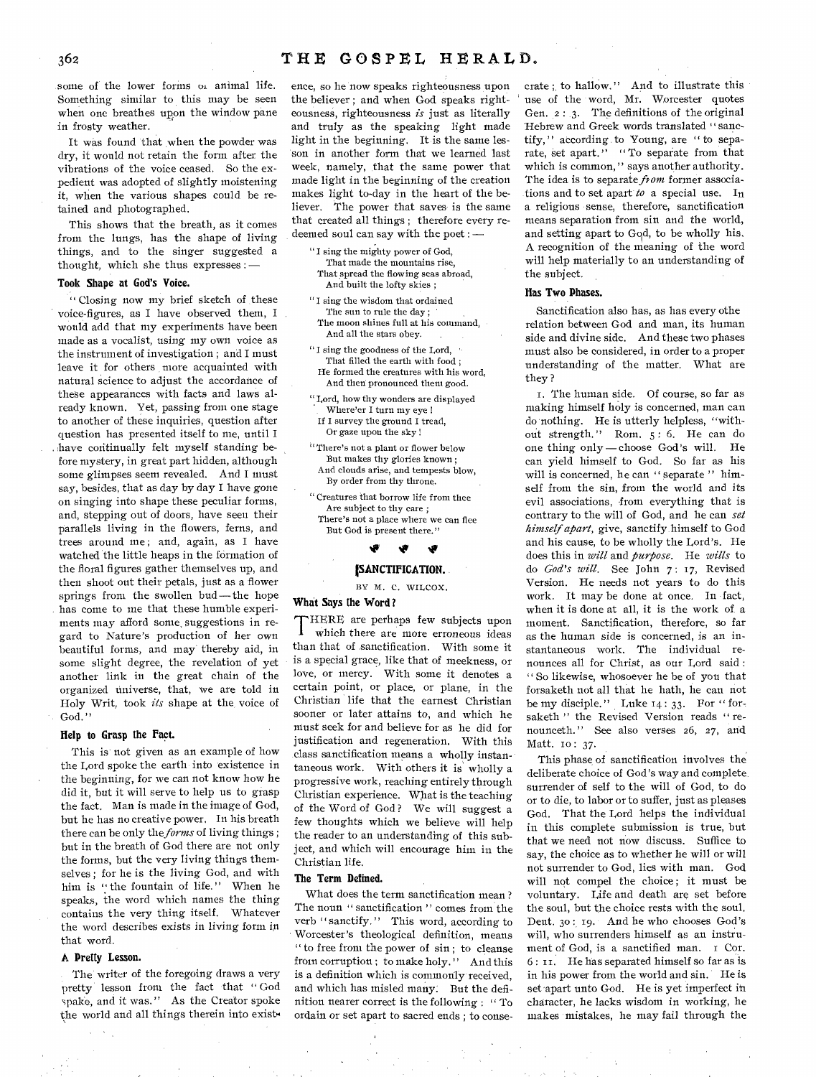some of the lower forms or animal life. Something similar to this may be seen when one breathes upon the window pane in frosty weather.

It was found that when the powder was dry, it would not retain the form after the vibrations of the voice ceased. So the expedient was adopted of slightly moistening it, when the various shapes could be retained and photographed.

This shows that the breath, as it comes from the lungs, has the shape of living things, and to the singer suggested a thought, which she thus expresses : **—** 

#### **Took Shape at God's Voice.**

" Closing now my brief sketch of these voice-figures, as I have observed them, I would add that my experiments have been made as a vocalist, using my own voice as the instrument of investigation ; and I must leave it for others more acquainted with natural science to adjust the accordance of these appearances with facts and laws already known. Yet, passing from one stage to another of these inquiries, question after question has presented itself to me, until I have continually felt myself standing before mystery, in great part hidden, although some glimpses seem revealed. And I must say, besides, that *as* day by day I have gone on singing into shape these peculiar forms, and, stepping out of doors, have seen their parallels living in the flowers, ferns, and trees around me ; and, again, as I have watched the little heaps in the formation of the floral figures gather themselves up, and then shoot out their petals, just as a flower springs from the swollen bud-the hope has come to me that these humble experiments may afford some, suggestions in regard to Nature's production of her own beautiful forms, and may thereby aid, in some slight degree, the revelation of yet another link in the great chain of the organized universe, that, we are told in Holy Writ, took *its* shape at the, voice of God."

#### **Help to Grasp the Pact.**

This is not given as an example of how the Lord spoke the earth into existence in the beginning, for we can not know how he did it, but it will serve to help us to grasp the fact. Man is made in the image of God, but he has no creative power. In his breath there can be only *the forms* of living things ; but in the breath of God there are not only the forms, but the very living things themselves ; for he is the living God, and with him is " the fountain of life." When he speaks, the word which names the thing contains the very thing itself. Whatever the word describes exists in living form in that word.

#### **A Pretty Lesson.**

The writer of the foregoing draws a very pretty lesson from the fact that " God spoke, and it *was."* As the Creator spoke the world and all things therein into existence, so he now speaks righteousness upon the believer ; and when God speaks righteousness, righteousness *is* just as literally and truly as the speaking light made light in the beginning. It is the same lesson in another form that we learned last week, namely, that the same power that made light in the beginning of the creation makes light to-day in the heart of the believer. The power that saves is the same that created all things ; therefore every redeemed soul can say with the poet : —

" I sing the mighty power of God, That made the mountains rise, That spread the flowing seas abroad, And built the lofty skies ;

- "I sing the wisdom that ordained The sun to rule the day ; The moon shines full at his command, And all the stars obey.
- " I sing the goodness of the Lord, That filled the earth with food ; He formed the creatures with his word, And then' pronounced them good.
- " Lord, how thy wonders are displayed Where'er I turn my eye ! If I survey the ground I tread, Or gaze upon the sky !
- "There's not a plant or flower below But makes thy glories known ; And clouds arise, and tempests blow, By order from thy throne.
- " Creatures that borrow life from thee Are subject to thy care ; There's not a place where we can flee But God is present there."

#### 1 w

#### **1SANCTIFICATION.**

BY M. C. WILCOX.

#### **What Says the Word ?**

 $T^2$ HERE are perhaps few subjects upon which there are more erroneous ideas than that of sanctification. With some it is a special grace, like that of meekness, or love, or mercy. With some it denotes a certain point, or place, or plane, in the Christian life that the earnest Christian sooner or later attains to, and which he must seek for and believe for as he did for justification and regeneration. With this class sanctification means a wholly instantaneous work. With others it is wholly a progressive work, reaching entirely through Christian experience. What is the teaching of the Word of God ? We will suggest a few thoughts which we believe will help the reader to an understanding of this subject, and which will encourage him in the Christian life.

#### **The Term Defined.**

What does the term sanctification mean ? The noun " sanctification " comes from the verb "sanctify." This word, according to Worcester's theological definition, means " to free from the power of sin ; to cleanse from corruption ; to make holy. " And this is a definition which is commonly received, and which has misled many. But the definition nearer correct is the following : " To ordain or set apart to sacred ends ; to consecrate; to hallow." And to illustrate this use of the word, Mr. Worcester quotes Gen. 2 : 3. The definitions of the original Hebrew and Greek words translated " *sanctify,* " according to Young, are " to separate, set apart." "To separate from that which is common," says another authority. The idea is to separate  $from$  former associations and to set apart *to* a special use. In a religious sense, therefore, sanctification means separation from sin and the world, and setting apart to God, to be wholly his. A recognition of the meaning of the word will help materially to an understanding of the subject.

#### **Has Two Phases.**

Sanctification also has, as has every othe relation between God and man, its human side and divine side. And these two phases must also be considered, in order to a proper understanding of the matter. What are they ?

I. The human side. Of course, so far as making himself holy is concerned, man can do nothing. He is utterly helpless, "without strength." Rom. 5: 6. He can do one thing only — choose God's will. He can yield himself to God. So far as his will is concerned, he can " separate " himself from the sin, from the world and its evil associations, from everything that is contrary to the will of God, and he can *set himself apart,* give, sanctify himself to God and his cause, to be wholly the Lord's. He does this in *will* and *purpose.* He *wills* to do *God's will.* See John 7: 17, Revised Version. He needs not years to do this work. It may be done at once. In fact, when it is done at all, it is the work of a moment. Sanctification, therefore, so far as the human side is concerned, is an instantaneous work. The individual renounces all for Christ, as our Lord said : " So likewise, whosoever he be of you that forsaketh not all that he hath, he can not be my disciple." Luke 14: 33. For "forsaketh " the Revised Version reads " renounceth. " See also verses 26, 27, and Matt. 10: 37.

This phase of sanctification involves the deliberate choice of God's way and complete surrender of self to the will of God, to do or to die, to labor or to suffer, just as pleases God. That the Lord helps the individual in this complete submission is true, but that we need not now discuss. Suffice to say, the choice as to whether he will or will not surrender to God, lies with man. God will not compel the choice ; it must be voluntary. Life and death are set before the soul, but the choice rests with the soul. Deut. 30: 19. And he who chooses God's will, who surrenders himself as an instrument of God, is a sanctified man. I Cor. 6 : II. He has separated himself so far as is in his power from the world and sin. He is set apart unto God. He is yet imperfect in character, he lacks wisdom in working, he makes mistakes, he may fail through the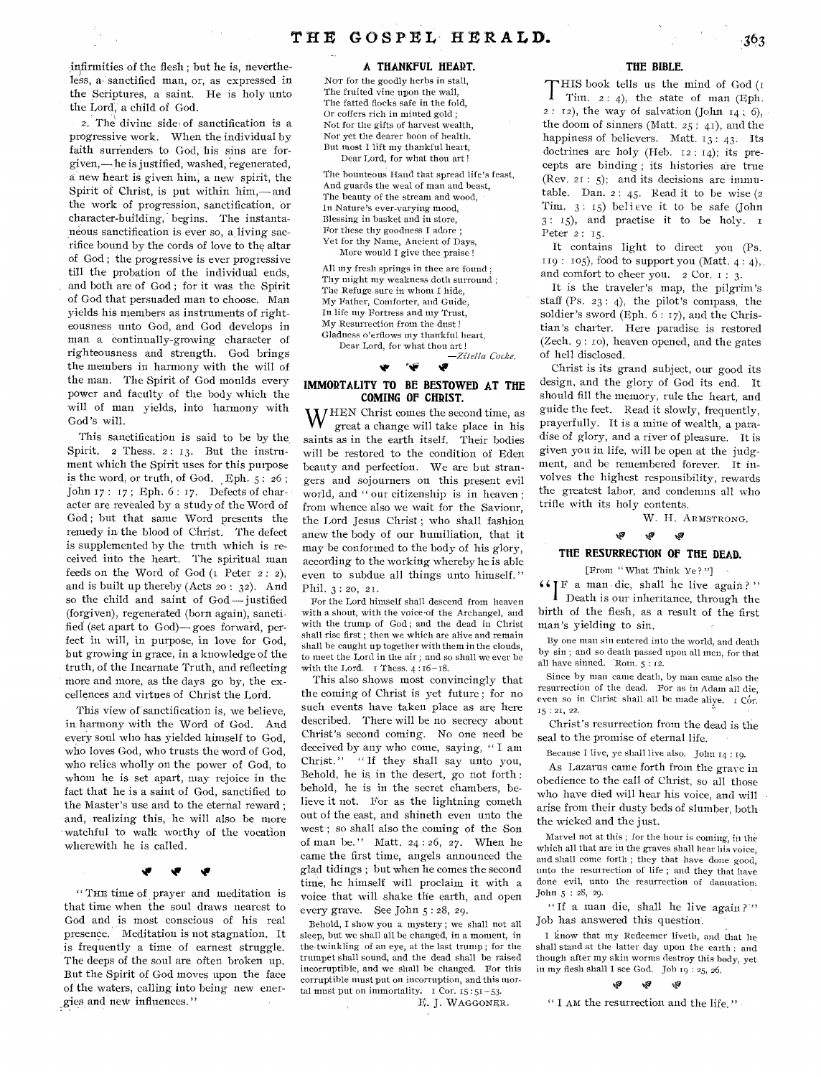infirmities of the flesh ; but he is, nevertheless, a sanctified man, or, as expressed in the Scriptures, a saint. He is holy unto the Lord, a child of God.

2. The divine side, of sanctification is a progressive work. When the individual by faith surrenders to God, his sins are forgiven,—he is justified, washed, regenerated, a new heart is given him, a new spirit, the Spirit of Christ, is put within him,— and the work of progression, sanctification, or character-building, begins. The instantaneous sanctification is ever so, a, living sacrifice bound by the cords of love to the altar of God ; the progressive is ever progressive till the probation of the individual ends, and both are of God ; for it was the Spirit of God that persuaded man to choose. Man yields his members as instruments of righteousness,unto God, and God develops in man a continually-growing character of righteousness and strength. God brings the members in harmony with the will of the man. The Spirit of God moulds every power and faculty of the body which the will of man yields, into harmony with God's will.

This sanctification is said to be by the. Spirit. 2 Thess. 2: 13. But the instrument which the Spirit uses for this purpose is the word, or truth, of God. Eph.  $5:26$ ; John 17 : 17 ; Eph. 6 : 77. Defects of character are revealed by a study of the Word of God; but that same Word presents the remedy in the blood of Christ. The defect is supplemented by the truth which is received into the heart. The spiritual man feeds on the Word of God (1 Peter 2: 2), and is built up thereby (Acts 20 : 32). And so the child and saint of God —justified (forgiven), regenerated (born again), sanctified (set apart to God)— goes forward, perfect in will, in purpose, in love for God, but growing in grace, in a knowledge of the truth, of the Incarnate Truth, and reflecting more and more, as the days go by, the excellences and virtues of Christ the Lord.

This view of sanctification is, we believe, in harmony with the Word of God. And every soul who has yielded himself to God, who loves God, who trusts the word of God, who relies wholly on the power of God, to whom he is set apart, may rejoice in the fact that he is a saint of God, sanctified to the Master's use and to the eternal reward ; and, realizing this, he will also be more watchful to walk worthy of the vocation wherewith he is called.

" THE time of prayer and meditation is that time when the soul draws nearest to God and is most conscious of his real presence. Meditation is not stagnation. It is frequently a time of earnest struggle. The deeps of the soul are often broken up. But the Spirit of God moves upon the face of the waters, calling into being new energies and new influences."

*tle \*IP* 

# **A THANKFUL HEART.**

NOT for the goodly herbs in stall, The fruited vine upon the wall, The fatted flocks safe in the fold, Or coffers rich in minted gold ; Not for the gifts of harvest wealth, Nor yet the dearer boon of health, But most I lift my thankful heart, Dear Lord, for what thou art !

The bounteous Hand that spread life's feast, And guards the weal of man and beast, The beauty of the stream and wood, In Nature's ever-varying mood, Blessing in basket and in store, For these thy goodness I adore ; Yet for thy Name, Ancient of Days, More would I give thee praise!

All my fresh springs in thee are found ; Thy might my weakness doth surround ; The Refuge. sure in whom I hide, My Father, Comforter, and Guide, In life my Fortress and my Trust, My Resurrection from the dust ! Gladness o'erflows my thankful heart, Dear Lord, for what thou art !

 $-Zitella$  Cocke.  $\sim$ 

Ŵ

ŵ

### **IMMORTALITY TO BE BESTOWED AT THE COMING OF CHRIST.**

 $W^{\text{HEN}}$  Christ comes the second time, as great a change will take place in his saints as in the earth itself. Their bodies will be restored to the condition of Eden beauty and perfection. We are but strangers and sojourners on this present evil world, and " our citizenship is in heaven; from whence also we wait for the Saviour, the Lord Jesus Christ ; who shall fashion anew the body of our humiliation, that it may be conformed to the body of his glory, according to the working whereby he is able even to subdue all things unto himself." Phil. 3: 20, 21.

For the Lord himself shall descend from heaven with a shout, with the voice •of the Archangel, and with the trump of God; and the dead in Christ shall rise first ; then we which are alive and remain shall be caught up together with them in the clouds, to meet the Lord in the air ; and so shall we ever be with the Lord.  $\tau$  Thess.  $4:16-18$ .

This also shows most convincingly that the coming of Christ is yet future ; for no such events have taken place as are here described. There will be no secrecy about Christ's second coming. No one need be deceived by any who come, saying, " I am Christ." "If they shall say unto you, Behold, he is in the desert, go not forth : behold, he is in the secret chambers, believe it not. For as the lightning cometh out of the east, and shineth even unto the west ; so shall also the coming of the Son of man be." Matt. 24 : 26, 27. When he came the first time, angels announced the glad tidings ; but when he comes the second time, he himself will proclaim it with a voice that will shake the earth, and open every grave. See John 5 : 28, 29.

Behold, I show you a mystery ; we shall not all sleep, but we shall all be changed, in a moment, in the twinkling of an eye, at the last trump ; for the trumpet shall sound, and the dead shall be raised incorruptible, and we shall be changed. For this corruptible must put on incorruption, and this mortal must put on immortality.  $\frac{1}{10}$  Cor.  $\frac{1}{5}$  :  $\frac{51 - 53}{5}$ . E. J. WAGGONER.

# **THE BIBLE.**

**T** HIS book tells us the mind of God (i Tim. 2: 4), the state of man (Eph. Tim. 2: 4), the state of man (Eph. 2 : 12), the way of salvation (John 14 : 6), the doom of sinners (Matt.  $25: 41$ ), and the happiness of believers. Matt. 13: 43. Its doctrines are holy (Heb. 12 : 14); its precepts are binding ; its histories are true (Rev. 21 : 5); and its decisions are immutable. Dan.  $2: 45$ . Read it to be wise  $(2)$ Tim.  $3: 15$ ) believe it to be safe (John 3: 15), and practise it to be holy. I Peter 2: 15.

It contains light to direct you (Ps. 119 : 105), food to support you (Matt. 4 : 4), , and comfort to cheer you. 2 Cor. I : 3.

It is the traveler's map, the pilgrim's staff (Ps. 23: 4), the pilot's compass, the soldier's sword (Eph. 6 : 17), and the Christian's charter. Here paradise is restored  $(Zech. 9: 10)$ , heaven opened, and the gates of hell disclosed.

Christ is its grand subject, our good its design, and the glory of God its end. It should fill the memory, rule the heart, and guide the feet. Read it slowly, frequently, prayerfully. It is a mine of wealth, a paradise of glory, and a river of pleasure. It is given you in life, will be open at the judgment, and be remembered forever. It involves the highest responsibility, rewards the greatest labor, and condemns all who trifle with its holy contents.

W. H. ARMSTRONG.

# **ef7 kill =47**

#### **THE RESURRECTION OF THE DEAD.**

[From " What Think Ye ? "]

GGIF a man die, shall he live again.? " 1 Death is our inheritance, through the birth of the flesh, as a result of the first

man's yielding to sin. By one man sin entered into the world, and death by sin ; and so death passed upon all men, for that all have sinned. Rom. 5 : 12.

Since by man came death, by man came also the resurrection of the dead. For as in Adam all die, even so in Christ shall all be made alive.  $I$  Cor. 15 : 2I, 22.

Christ's resurrection from the dead is the seal to the promise of eternal life.

Because I live, ye shall live also. John 14 : 19.

As Lazarus came forth from the grave in obedience to the call of Christ, so all those who have died will hear his voice, and will arise from their dusty beds of slumber, both the wicked and the just.

Marvel not at this; for the hour is coming, in the which all that are in the graves shall hear his voice, and shall come forth ; they that have done good, unto the resurrection of life ; and they that have done evil, unto the resurrection of damnation: John 5 : 28, 29.

" If a man die, shall he live again?" Job has answered this question.

I know that my Redeemer liveth, and that he shall stand at the latter day upon the earth : and though after my skin worms destroy this- body, yet in my flesh shall I see God. Job 19 : 25, 26.<br>په په په

" I AM the resurrection and the life."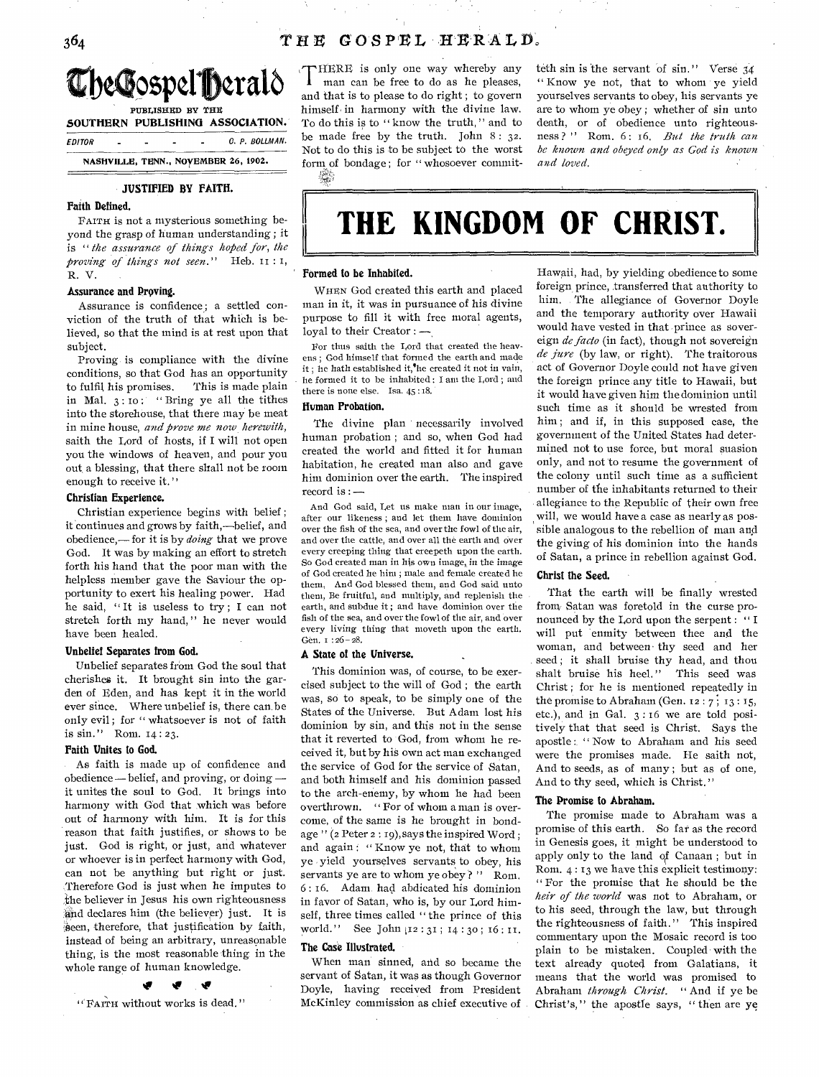

EDITOR - - - - C. P. BOLLMAN.

NASHVILLE, TENN., NOVEMBER 26, 1902.

#### **JUSTIFIED BY FAITH.**

#### **Faith Defined.**

FAITH is not a mysterious something beyond the grasp of human understanding ; it is " *the assurance of things hoped for, the proving of things not seen.*" Heb. 11:1, R. V.

#### **Assurance and Proving.**

Assurance is confidence ; a settled conviction of the truth of that which is believed, so that the mind is at rest upon that subject.

Proving is compliance with the divine conditions, so that God has an opportunity to fulfil his promises. This is made plain in Mal.  $3:10:$  "Bring ye all the tithes into the storehouse, that there may be meat in mine house, *and prove me now herewith,*  **saith** the Lord of hosts, if I will not open you the windows of heaven, and pour you out a blessing, that there shall not be room enough to receive it."

#### **Christian Experience.**

Christian experience begins with belief ; it continues and grows by faith,—belief, and obedience,— for it is by *doing* that we prove God. It was by making an effort to stretch forth his hand that the poor man with the helpless member gave the Saviour the opportunity to exert his healing power. Had he said, " It is useless to try ; I can not stretch forth my hand," he never would have been healed.

#### **Unbelief Separates from God.**

Unbelief separates from God the soul that cherishes it. It brought sin into the garden of Eden, and has kept it in the world ever since. Where unbelief is, there can be only evil; for " whatsoever is not of faith is sin." Rom. 14 : 23.

#### **Faith Unites to God.**

As faith is made up of confidence and obedience — belief, and proving, or doing it unites the soul to God. It brings into harmony with God that which was before out of harmony with him. It is for this reason that faith justifies, or shows to be just. God is right, or just, and whatever or whoever is in perfect harmony with God, can not be anything but right or just. Therefore God is just when he imputes to the believer in Jesus his own righteousness and declares him (the believer) just. It is seen, therefore, that justification by faith, instead of being an arbitrary, unreasonable thing, is the most reasonable thing in the whole range of human knowledge.

#### gg gr

" FAITH without works is dead."

man can be free to do as he pleases, and that is to please to do right ; to govern PUBLISHING ASSOCIATION. To do this is to "know the truth," and to SOUTHERN PUBLISHING ASSOCIATION. To do this is to "know the truth," and to To do this is to " know the truth," and to be made free by the truth. John 8: 32. Not to do this is to be subject to the worst form of bondage; for "whosoever commit-纂

teth sin is the servant of sin." Verse 3.4 "Know ye not, that to whom ye yield yourselves servants to obey, his servants ye are to whom ye obey ; whether of sin unto death, or of obedience unto righteousness ? " Rom. 6 : 16. *But the truth can be known and obeyed only as God is known and loved,* 

# **THE KINGDOM OF CHRIST.**

#### **Formed to be Inhabited.**

WHEN God created this earth and placed man in it, it was in pursuance of his divine purpose to fill it with free moral agents, loyal to their Creator :

For thus saith the Lord that created the heavens ; God himself that formed the earth and made it ; he hath established it,'he created it not in vain, he formed it to be inhabited : I am the Lord ; and there is none else. Isa. 45 :18.

#### **Hyman Probation.**

The divine plan necessarily involved human probation ; and so, when God had created the world and fitted it for human habitation, he created man also and gave him dominion over the earth. The inspired record is : —

And God said, Let us make man in our image, after our likeness ; and let them have dominion over the fish of the sea, and over the fowl of the air, and over the cattle, and over all the earth and over every creeping thing that creepeth upon the earth. So God created man in his own image, in the *image*  of God created he him ; male and female created he them, And God blessed them, and God said unto them, Be fruitful, and multiply, and replenish the earth, and subdue it ; and have dominion over the fish of the sea, and over the fowl of the air, and over every living thing that moveth upon the earth. Gen. I : 26 - 28.

#### **A State of the Universe.**

This dominion was, of course, to be exercised subject to the will of God ; the earth was, so to speak, to be simply one of the States of the Universe. But Adam lost his dominion by sin, and this not in the sense that it reverted to God, from whom he received it, but by his own act man exchanged the service of God for the service of Satan, and both himself and his dominion passed to the arch-enemy, by whom he had been overthrown. " For of whom a man is overcome, of the same *is* he brought in bondage " (2 Peter  $2:19$ ), says the inspired Word ; and again : " Know ye not, that to whom ye yield yourselves servants to obey, his servants ye are to whom ye obey ? " Rom. 6 : 16. Adam had abdicated his dominion in favor of Satan, who is, by our Lord himself, three times called "the prince of this world." See John 112 : 31 ; 14 : 30 ; 16 : 11.

#### The Case Illustrated.

When man sinned, and so became the servant of Satan, it was as though Governor Doyle, having received from President McKinley commission as chief executive of

Hawaii, had, by yielding obedience to some foreign prince, transferred that authority to him. The allegiance of Governor Doyle and the temporary authority over Hawaii would have vested in that prince as sovereign *de facto* (in fact), though not sovereign *de jure* (by law, or right). The traitorous act of Governor Doyle could not have given the foreign prince any title to Hawaii, but it would have given him the dominion until such time as it should be wrested from him ; and if, in this supposed case, the government of the United States had determined not to use force, but moral suasion only, and not to resume the government of the colony until such time as a sufficient number of the inhabitants returned to their allegiance to the Republic of their own free will, we would have a case as nearly as possible analogous to the rebellion of man and the giving of his dominion into the hands of Satan, a prince in rebellion against God.

#### **Christ the Seed.**

That the earth will be finally wrested from Satan was foretold in the curse pronounced by the Lord upon the serpent : " I will put enmity between thee and the woman, and between • thy seed and her seed ; it shall bruise thy head, and thou shalt bruise his heel." This seed was Christ; for he is mentioned repeatedly in the promise to Abraham (Gen.  $12 : 7 : 13 : 15$ , etc.), and in Gal. 3 : 16 we are told positively that that seed is Christ. Says the apostle : " Now to Abraham and his seed were the promises made. He saith not, And to seeds, as of many ; but as of one, And to thy seed, which is Christ."

#### **The Promise to Abraham.**

The promise made to Abraham was a promise of this earth. So far as the record in Genesis goes, it might be understood to apply only to the land of Canaan ; but in Rom. 4 : 13 we have this explicit testimony: " For the promise that he should be the *heir of the world* was not to Abraham, or to his seed, through the law, but through the righteousness of faith. " This inspired commentary upon the Mosaic record is too plain to be mistaken. Coupled with the text already quoted from Galatians, it means that the world was promised to Abraham *through Christ. "* And if ye be Christ's," the apostle says, " then are ye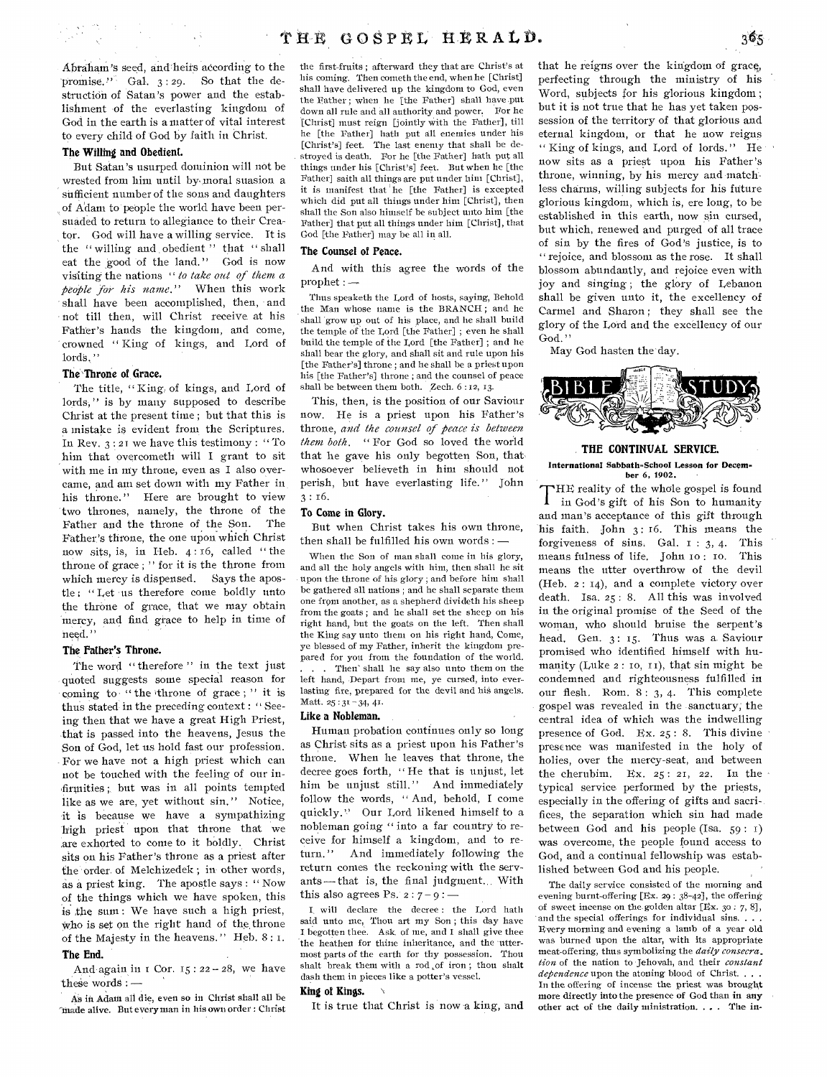#### The Willing and Obedient.

But Satan's usurped dominion will not be wrested from him until by-moral suasion a sufficient number of the sons and daughters of Adam to people the world have been persuaded to return to allegiance to their Creator. God will have a willing service. It is the "willing and obedient" that "shall eat the good of the land." God is now visiting the nations " *to take out of them a peoPle for his name."* When this work shall have been accomplished, then, and not till then, will Christ receive at his Father's hands the kingdom, and come, crowned " King of kings, and Lord of lords."

#### The\ Throne of Grace.

The title, " King, of kings, and Lord of lords," is by many supposed to describe Christ at the present time ; but that this is a mistake is evident from the Scriptures. In Rev.  $3:2I$  we have this testimony : "To him that overcometh will I grant to sit with me in my throne, even as I also overcame, and am set down with my Father in his throne." Here are brought to view two thrones, namely, the throne of the Father and the throne of the Son. The Father's throne, the one upon which Christ now sits, is, in Heb.  $4:16$ , called "the throne of grace ; " for it is the throne from which mercy is dispensed. Says the apostle ; " Let us therefore come boldly unto the throne of grace, that we may obtain mercy, and find grace to help in time of heed."

#### The Father's Throne.

The word " therefore" in the text just quoted suggests some special reason for coming to " the throne of grace; " it is thus stated in the preceding context : " Seeing then that we have a great High Priest, that is passed into the heavens, Jesus the Son of God, let us hold fast our profession. For we have not a high priest which can not be touched with the feeling of our infirmities ; but was in all points tempted like as we are, yet without sin." Notice, it is because we have a sympathizing 'high priest upon that throne that we are exhorted to come to it boldly. Christ sits on his Father's throne as a priest after the'order. of Melchizedek ; in other words, as a priest king. The apostle says : " Now of the things which we have spoken, this is the sum : We have such a high priest, who is set on the right hand of the throne of the Majesty in the heavens." Heb. 8 : 1.

#### The End.

And again in  $r$  Cor.  $15 : 22 - 28$ , we have these words : —

As in Adam all die, even so in Christ shall all be 'Made alive. But every man in his own order : Christ the first-fruits ; afterward they that are Christ's at his coming. Then cometh the end, when he [Christ] shall have delivered up the kingdom to God, even the Father; when he [the Father] shall have.put down all rule and all authority and power. For he [Christ] must reign [jointly with the Father], till he [the Father] hath put all enemies under his [Christ's] feet. The last enemy that shall be destroyed is death. For he [the Father] hath put all things under his [Christ's] feet. But when he [the Father] saith all things are put under him [Christ], it is manifest that he [the Father] is excepted which did put all things under him [Christ], then shall the Son also himself be subject unto him [the Father] that put all things under him [Christ], that God [the Father] may be all in all.

#### The Counsel of Peace.

And with this agree the words of the prophet : —

Thus speaketh the Lord of hosts, saying, Behold the Man whose name is the BRANCH ; and he shall 'grow up out of his place, and he shall build the temple of the Lord [the Father] ; even he shall build the temple of the Lord [the Father] ; and he shall bear the glory, and shall sit and rule upon his [the Father's] throne ; and he shall be a priest upon his [the Father's] throne ; and the counsel of peace shall be between them both. Zech. 6:12, 13.

This, then, is the position of our Saviour now. He is a priest upon his Father's throne, *and the counsel of peace is between them both. "For* God so loved the world that he gave his only begotten Son, that, whosoever believeth in him should not perish, but have everlasting life." John 3 : 16.

#### To Come in Glory.

But when Christ takes his own throne, then shall be fulfilled his own words : —

When the Son of man shall come in his glory, and all the holy angels with him, then shall he sit upon the throne of his glory ; and before him shall be gathered all nations ; and he shall separate them one from another, as a shepherd divideth his sheep from the goats ; and he shall set the sheep on his right hand, but the goats on the left. Then shall the King say unto them on his right hand, Come, ye blessed of my Father, inherit the kingdom prepared for you from the foundation of the world. Then' shall he say also unto them on the left hand, Depart from me, ye cursed, into everlasting fire, prepared for the devil and his angels. Matt. 25 : 31- 34, 41.

#### Like a Nobleman.

Human probation continues only so long as Christ sits as a priest upon his Father's throne. When he leaves that throne, the decree goes forth, "He that is unjust, let him be unjust still." And immediately follow the words, " And, behold, I come quickly." Our Lord likened himself to a nobleman going " into a far country to receive for himself a kingdom, and to return." And immediately following the return comes the reckoning with the servants—that is, the final judgment., With this also agrees Ps.  $2:7-9$ :

I, will declare the decree : the Lord hath said unto me, Thou art my Son ; this day have I begotten thee. Ask of me, and I shall give thee the heathen for thine inheritance, and the uttermost parts of the earth for thy possession. Thou shalt break them with a rod of iron; thou shalt dash them in pieces like a potter's vessel.

#### King of Kings.

It is true that Christ is now a king, and

that he reigns over the kingdom of grace, perfecting through the ministry of his Word, subjects for his glorious kingdom ; but it is not true that he has yet taken possession of the territory of that glorious and eternal kingdom, or that he now reigns " King of kings, and Lord of lords." He now sits as a priest upon his Father's throne, winning, by his mercy and matchless charms, willing subjects for his future glorious kingdom, which is, ere long, to be established in this earth, now sin cursed, but which, renewed and purged of all trace of sin by the fires of God's justice, is to " rejoice, and blossom as the rose. It shall blossom abundantly, and rejoice even with joy and singing ; the glory of Lebanon shall be given unto it, the excellency of Carmel and Sharon ; they shall see the glory of the Lord and the excellency of our God."

May God hasten the day.



#### THE CONTINUAL SERVICE. International Sabbath-School Lesson for December 6, 1902.

THE reality of the whole gospel is found<br>in God's gift of his Son to humanity HE reality of the whole gospel is found and man's acceptance of this gift through his faith. John 3: i6. This means the forgiveness of sins. Gal.  $r : 3, 4$ . This means fulness of life. John 10: 10. This means the utter overthrow of the devil (Heb. 2 : 14), and a complete victory over death. Isa. 25 : 8. All this was involved in the original promise of the Seed of the woman, who should bruise the serpent's head. Gen. 3: 15. Thus was a Saviour promised who identified himself with humanity (Luke 2: 10, 11), that sin might be condemned and righteousness fulfilled in our flesh. Rom. 8: 3, 4. This complete gospel was revealed in the sanctuary, the central idea of which was the indwelling presence of God. Ex. 25 : 8. This divine presence was manifested in the holy of holies, over the mercy-seat, and between the cherubim. Ex. 25: 21, 22. In the typical service performed by the priests, especially in the offering of gifts and sacrifices, the separation which sin had made between God and his people (Isa.  $59: 1$ ) was overcome, the people found access to God, and a continual fellowship was established between God and his people.

The daily service consisted of the morning and evening burnt-offering [Ex. 29 : 38-42], the offering of sweet incense on the golden altar  $[Ex. 30: 7, 8]$ , and the special offerings for individual sins. . . . Every morning and evening a lamb of a year old was burned upon the altar, with its appropriate meat-offering, thus symbolizing the *daily consecra\_ lion* of the nation to Jehovah, and their *constant dependence* upon the atoning blood of Christ. . , In the offering of incense the priest was brought more directly into the presence of God than in any other act of the daily ministration. . . The in-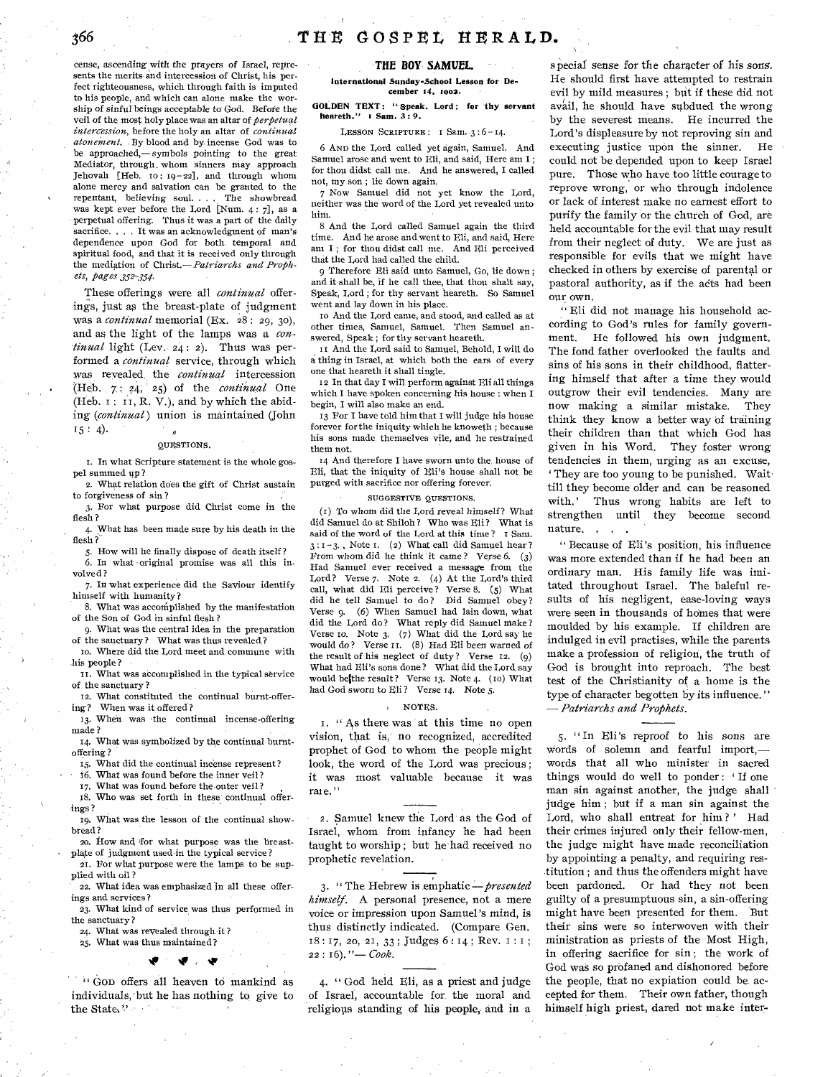cense, ascending with the prayers of Israel, represents the merits and intercession of Christ, his perfect righteousness, which through faith is imputed to his people, and which can alone make the worship of sinful beings acceptable to God. Before the veil of the most holy place was an altar of *perpetual intercession,* before the holy an altar of *continual atonement.* By blood and by incense God was to be approached,-symbols pointing to the great Mediator, through, whom sinners may approach Jehovah [Heb. to: 19 - 22], and through whom alone mercy and salvation can be granted to the repentant, believing soul. . . The showbread was kept ever before the Lord [Num. 4: 7], as a perpetual offering. Thus it was a part of the daily sacrifice. . . . It was an acknowledgment of man's dependence upon God for both temporal and spiritual food, and that it is received only through the mediation of Christ.- *Patriarchs and Prophets, pages 352-?54•* 

These offerings were all *continual* offerings, just as the breast-plate of judgment was a *continual* memorial (Ex. 28 : 29, 3o), and as the light of the lamps was a *continual* light (Lev. 24: 2). Thus was performed a *continual* service, through which was revealed, the *continual* intercession (Heb. 7 : 24; ' 25) of the *continual* One (Heb.  $i : I, R, V$ .), and by which the abiding *(continual)* union is maintained (John  $15 : 4).$ 

#### QuisTiows.

1. In what Scripture statement is the whole gos-

pel summed up ? 2. What relation does the gift of Christ sustain to forgiveness of sin ?

3. For what purpose did Christ come in the flesh ?

4• What has been made sure by his death in the flesh ?

5. How will he finally dispose of death itself? 6. In what original promise was all this involved ?

7• In what experience did the Saviour identify himself with humanity?

8. What was accomplished by the manifestation of the Son of God in sinful flesh ?

9. What was the central idea in the preparation of the sanctuary? What was thus revealed?

io. Where did the Lord meet and commune with his people?

II. What was accomplished in the typical service of the sanctuary ?

12. What constituted the continual burnt-offering? When was it offered?

13. When was the continual incense-offering made ?

14. What was symbolized by the continual burntoffering ?

15. What did the continual incense represent?

16. What was found before the inner veil?

17. What was found before the outer veil?

18. Who was set forth in these continual offer-

ings ? 19. What was the lesson of the continual showbread ?

20. flow and for what purpose was the breastplate of judgment used in the typical service?

21. For what purpose were the lamps to be supplied with oil ?

22. What idea was emphasized in all these offerings and services?

23. What kind of service was thus performed in the sanctuary ?

24. What was revealed through it?

25. What was thus maintained? ي

" Goo offers all heaven to mankind as individuals, 'but he has nothing to give to the States'.'

*tir* 

#### **THE BOY SAMUEL.**

**International Sunday-School Lesson for De**cember 14. 1002.

**GOLDEN TEXT: " speak. Lord; for thy servant heareth." I** Sam. 3: 9.

LESSON SCRIPTURE:  $I$  Sam.  $3:6-14$ .

6 AND the Lord called yet again, Samuel. And Samuel arose and went to Eli, and said, Here am I ; for thou didst call me. And he answered, I called not, my son ; lie down again.

7 Now Samuel did not yet know the Lord, neither was the word of the Lord yet revealed unto him.

8 And the Lord called Samuel again the third time. And he arose and went to Eli, and said, Here am I; for thou didst call me. And Eli perceived that the Lord had called the child.

9 Therefore Eli said unto Samuel, Go, lie down ; and it shall be, if he call thee, that thou shalt say, Speak, Lord ; for thy servant heareth. So Samuel went and lay down in his place.

to And the Lord came, and stood, and called as at other times, Samuel, Samuel. Then Samuel answered, Speak ; for thy servant heareth.

II And the Lord said to Samuel, Behold, I will do a thing in Israel, at which both the ears of every one that heareth it shall tingle.

12 In that day I will perform against Eli all things which I have spoken concerning his house : when I begin, I will also make an end.

13 For I have told him that I will judge his house forever for the iniquity which he knoweth ; because his sons made themselves vile, and he restrained them not.

14 And therefore I have sworn unto the, house of Eli, that the iniquity of Eli's house shall not be purged with sacrifice nor offering forever.

#### SUGGESTIVE QUESTIONS.

(r) To whom did the Lord reveal himself? What did Samuel do at Shiloh? Who was Eli? What is said of the word of the Lord at this time? I Sam.  $3: I - 3.$  Note I. (2) What call did Samuel hear? From whom did he think it came? Verse 6. (3) Had Samuel ever received a message from the Lord? Verse 7. Note 2. (4) At the Lord's third call, what did Eli perceive? Verse 8. (5) What did he tell Samuel to do? Did Samuel obey? Verse 9. (6) When Samuel had lain down, what did the Lord do? What reply did Samuel make? Verse 1o. Note 3. (7) What did the Lord say he would do? Verse II. (8) Had Eli been warned of the result of his neglect of duty ? Verse 12, (9) What had Eli's sons done ? What did the Lord, say would be<sup>t</sup>the result? Verse 13. Note 4. (10) What had God sworn to Eli ? Verse 14. Note 5.

#### NOTES.

1. " As there was at this time no open vision, that is,' no recognized, accredited prophet of God to whom the people might look, the word of the Lord was precious ; it was most valuable because it was rate."

2. Samuel knew the Lord as the God of Israel, whom from infancy he had been taught to worship ; but he had received no prophetic revelation.

3. " The Hebrew is emphatic *-presented himself.* A personal presence, not a mere voice or impression upon Samuel 's mind, *is*  thus distinctly indicated. (Compare Gen. 18 : 17, 20, 21, 33 ; Judges 6: 14 ; Rev. I : I ;  $22:16)$ . "- *Cook*.

*4. "* God held Eli, as a priest and judge of Israel, accountable for the moral and religious standing of his people, and in a special sense-for the character of his sons. He should first have attempted to restrain evil by mild measures; but if these did not avail, he should have subdued the wrong by the severest means. He incurred the Lord's displeasure by not reproving sin and executing justice upon the sinner. He could not be depended upon to keep Israel pure. Those who have too little courage to reprove wrong, or who through indolence or lack of interest make no earnest effort to purify the family or the church of God, are held accountable for the evil that may result from their neglect of duty. We are just as responsible for evils that we might have checked in others by exercise of parental or pastoral authority, as if the acts had been our own.

" Eli did not manage his household according to God's rules for family government. He followed his own judgment. The fond father overlooked the faults and sins of his sons in their childhood, flattering himself that after a time they would outgrow their evil tendencies. Many are now making a similar mistake. They think they know a better way of training their children than that which God has given in his Word. They foster wrong tendencies in them, urging as an excuse, They are too young to be punished. Wait till they become older and can be reasoned with.' Thus wrong habits are left to strengthen until they become second nature. . .

" Because of Eli's position, his influence was more extended than *if* he had been an ordinary man. His family life was imitated throughout Israel. The baleful results of his negligent, ease-loving ways were seen in thousands of homes that were moulded by his example. If children are indulged in evil practises, while the parents make a profession of religion, the truth of God is brought into reproach. The best test of the Christianity of a home is the type of character begotten by its influence." *- Patriarchs and Prophets.* 

5. " In Eli's reproof to his *sons* are words of solemn and fearful import,words that all who minister in sacred things would do well to ponder: 'If one man sin against another, the judge shall judge him ; but if a man sin against the Lord, who shall entreat for him ? ' Had their crimes injured only their fellow-men, the judge might have made reconciliation by appointing a penalty, and requiring restitution ; and thus the offenders might have been pardoned. Or had they not been guilty a a presumptuous sin, a sin-offering might have been presented for them. But their sins were so interwoven with their ministration as priests of the Most High, in offering sacrifice for sin ; the work of God was so profaned and dishonored before the people, that no expiation could be accepted for them. Their own father, though himself high priest, dared not make inter-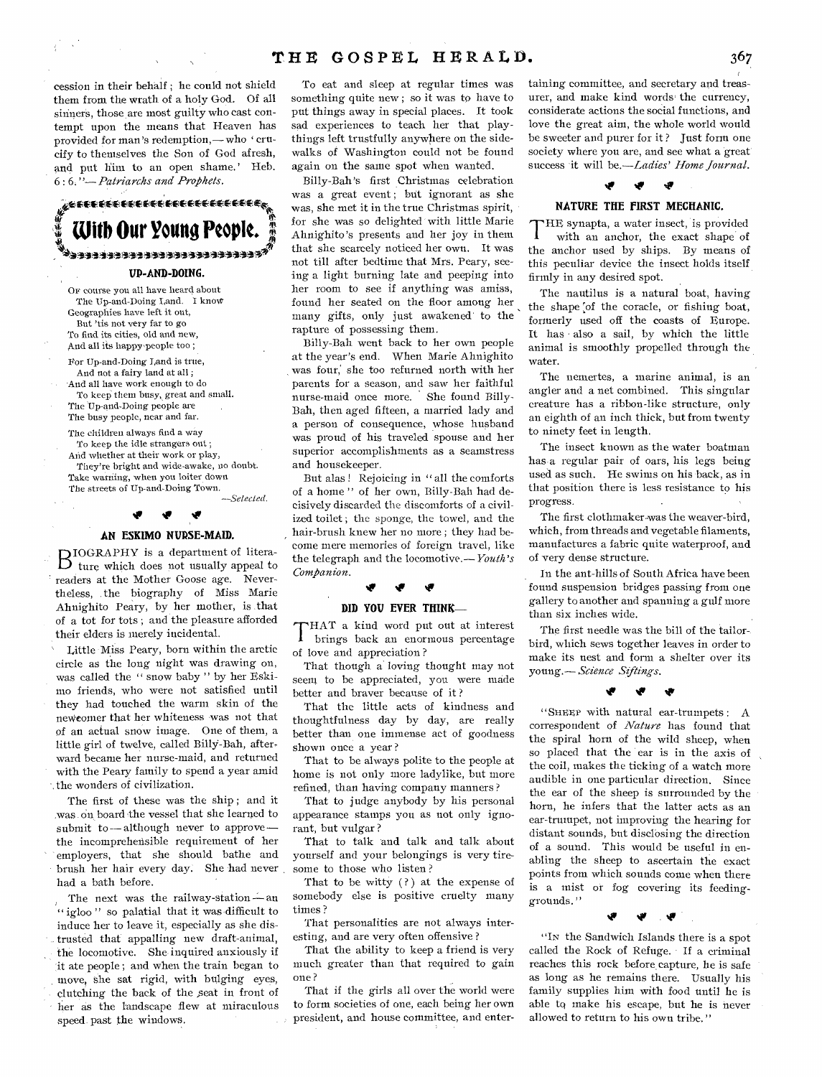# THE GOSPEL HERALD. 367

cession in their behalf ; he could not shield them from the wrath of a holy God. Of all sinners, those are most guilty who cast contempt upon the means that Heaven has provided for man's redemption,— who 'crucify to themselves the Son of God afresh, and put him to an open shame.' Heb. 6 : 6, "— *Patriarchs and Prophets.* 

# :4\* \*VESiOiiiiitifiefiC04CEielfifie\*Cfie\*\*0 ;. 11. **With Our Young People.**  ,4,4\$isa4a4, 4\$ita\$33,53.1sawiraa.-0 7

#### **UP-AND-DOING.**

OF course you all have heard about The Up-and-Doing Land. I know Geographies have left it out, But 'tis not very far to go To find its cities, old and new, And all its happy people too;

For Up-and-Doing Land is true, And not a fairy land at all ; And all have work enough to do To keep them busy, great and small. The 'Up-and-Doing people are

The busy people, near and far. The children always find a way To keep the idle strangers out ; And whether at their work or play, They're bright and wide-awake, no doubt.

Take warning, when you loiter down The streets of Up-and-Doing Town. *—Selected.* 

#### **AN ESKIMO NURSE-MAID.**

BIOGRAPHY is a department of litera- $\mathbf D$  ture which does not usually appeal to readers at the Mother Goose age. Nevertheless, the biography of Miss Marie Ahnighito Peary, by her mother, is that of a tot for tots ; and the pleasure afforded their elders is merely incidental.

Little Miss Peary, born within the arctic circle as the long night was drawing on, was called the " snow baby " by her Eskimo friends, who were not satisfied until they had touched the warm skin of the newcomer that her whiteness was not that of an actual snow image. One of them, a little girl of twelve, called Billy-Bah, afterward became her nurse-maid, and returned with the Peary family to spend a year amid the wonders of civilization.

The first of these was the ship ; and it was on board the vessel that she learned to submit to -- although never to approve -the incomprehensible requirement of her employers, that she should bathe and brush her hair every day. She had never had a bath before.

The next was the railway-station  $-\text{an}$ " igloo" so palatial that it was difficult to induce her to leave it, especially as she distrusted that appalling new draft-animal, the locomotive. She inquired anxiously if it ate people ; and when the train began to move, She sat rigid, with bulging eyes, clutching the back of the seat in front of her as the landscape flew at miraculous speed past the windows.

To eat and sleep at regular times was something quite new ; so it was to have to put things away in special places. It took sad experiences to teach her that playthings left trustfully anywhere on the sidewalks of Washington could not be found again on the same spot when wanted.

Billy-Bah 's first Christmas celebration was a great event; but ignorant as she was, she met it in the true Christmas spirit, for she was so delighted with little Marie Ahnighito's presents and her joy in them that she scarcely noticed her own. It was not till after bedtime that Mrs. Peary, seeing a light burning late and peeping into her room to see if anything was amiss, found her seated on the floor among her many gifts, only just awakened to the rapture of possessing them.

Billy-Bah went back to her own people at the year's end. When Marie Ahnighito was four,' she too refurned north with her parents for a season, and saw her faithful nurse-maid once more. She found Billy-Bah, then aged fifteen, a married lady and a person of consequence, whose husband was proud of his traveled spouse and her superior accomplishments as a seamstress and housekeeper.

But alas ! Rejoicing in " all the comforts of a home " of her own, Billy-Bah had decisively discarded the discomforts of a civilized toilet ; the sponge, the towel, and the hair-brush knew her no more ; they had become mere memories of foreign travel, like the telegraph and the locomotive.— *Youth's Companion.* 

# tir *NIF*

#### **DID YOU EVER THINK—**

**T** HAT a kind word put out at interest brings back an enormous percentage of love and appreciation ?

That though a loving thought may not seem to be appreciated, you were made better and braver because of it ?

That the little acts of kindness and thoughtfulness day by day, are really better than one immense act of goodness shown once a year ?

That to be always polite to the people at home is not only more ladylike, but more refined, than having company manners ?

That to judge anybody by his personal appearance stamps you as not only ignorant, but vulgar ?

That to talk and talk and talk about yourself and your belongings is very tiresome to those who listen ?

That to be witty  $(?)$  at the expense of somebody else is positive cruelty many times ?

That personalities are not always interesting, and are very often offensive ?

That the ability to keep a friend is very much greater than that required to gain one?

That if the girls all over the world were to form societies of one, each being her own president, and house committee, and enter-

taining committee, and secretary and treasurer, and make kind words the currency, considerate actions the social functions, and love the great aim, the whole world would be sweeter and purer for it ? Just form one society where you are, and see what a great success 'it will *be.—Ladies' Home journal.* 

# ی **NATURE THE FIRST MECHANIC.**

T HE synapta, a water insect, is provided with an anchor, the exact shape of the anchor used by ships. By means of this peculiar device the insect holds itself firmly in any desired spot.

The nautilus is a natural boat, having the shape of the coracle, or fishing boat, formerly used off the coasts of Europe. It has • also a sail, by which the little animal is smoothly propelled through the water.

The nemertes, a marine animal, is an angler and a net combined. This singular creature has a ribbon-like structure, only an eighth of an inch thick, but from twenty to ninety feet in length.

The insect known as the water boatman has a regular pair of oars, his legs being used as such. He swims on his back, as in that position there is less resistance to his progress.

The first clothmaker-was the weaver-bird, which, from threads and vegetable filaments, manufactures a fabric quite waterproof, and of very dense structure.

In the ant-hills of South Africa have been found suspension bridges passing from one gallery to another and spanning a gulf more than six inches wide.

The first needle was the bill of the tailor-. bird, which sews together leaves in order to make its nest and form a shelter over its young.— *Science Siftings.* 



"SHEEP with natural ear-trumpets : A correspondent of *Nature* has found that the spiral horn of the wild sheep, when so placed that the ear is in the axis of the coil, makes the ticking of a watch more audible in one particular direction. Since the ear of the sheep is surrounded by the horn, he infers that the latter acts as an ear-trumpet, not improving the hearing for distant sounds, but disclosing the direction of a sound. This would be useful in enabling the sheep to ascertain the exact points from which sounds come when there is a mist or fog covering its feedinggrounds."



"IN the Sandwich Islands there is a spot called the Rock of Refuge. If a criminal reaches this rock before capture, he is safe as long as he remains there. Usually his family supplies him with food until he is able tq make his escape, but he is never allowed to return to his own tribe."